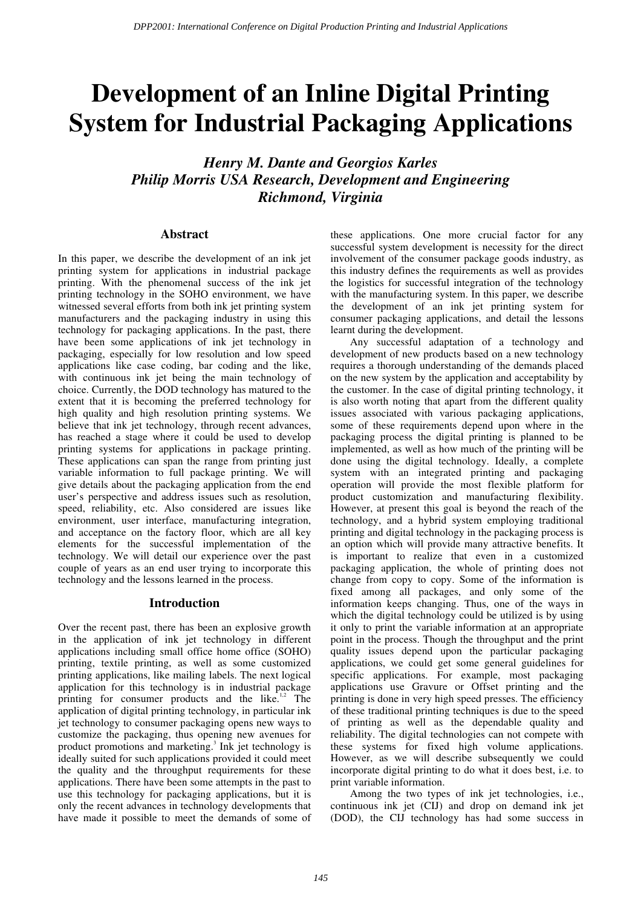# **Development of an Inline Digital Printing System for Industrial Packaging Applications**

*Henry M. Dante and Georgios Karles Philip Morris USA Research, Development and Engineering Richmond, Virginia* 

#### **Abstract**

In this paper, we describe the development of an ink jet printing system for applications in industrial package printing. With the phenomenal success of the ink jet printing technology in the SOHO environment, we have witnessed several efforts from both ink jet printing system manufacturers and the packaging industry in using this technology for packaging applications. In the past, there have been some applications of ink jet technology in packaging, especially for low resolution and low speed applications like case coding, bar coding and the like, with continuous ink jet being the main technology of choice. Currently, the DOD technology has matured to the extent that it is becoming the preferred technology for high quality and high resolution printing systems. We believe that ink jet technology, through recent advances, has reached a stage where it could be used to develop printing systems for applications in package printing. These applications can span the range from printing just variable information to full package printing. We will give details about the packaging application from the end user's perspective and address issues such as resolution, speed, reliability, etc. Also considered are issues like environment, user interface, manufacturing integration, and acceptance on the factory floor, which are all key elements for the successful implementation of the technology. We will detail our experience over the past couple of years as an end user trying to incorporate this technology and the lessons learned in the process.

#### **Introduction**

Over the recent past, there has been an explosive growth in the application of ink jet technology in different applications including small office home office (SOHO) printing, textile printing, as well as some customized printing applications, like mailing labels. The next logical application for this technology is in industrial package printing for consumer products and the like. $1,2$  The application of digital printing technology, in particular ink jet technology to consumer packaging opens new ways to customize the packaging, thus opening new avenues for product promotions and marketing.<sup>3</sup> Ink jet technology is ideally suited for such applications provided it could meet the quality and the throughput requirements for these applications. There have been some attempts in the past to use this technology for packaging applications, but it is only the recent advances in technology developments that have made it possible to meet the demands of some of

these applications. One more crucial factor for any successful system development is necessity for the direct involvement of the consumer package goods industry, as this industry defines the requirements as well as provides the logistics for successful integration of the technology with the manufacturing system. In this paper, we describe the development of an ink jet printing system for consumer packaging applications, and detail the lessons learnt during the development.

Any successful adaptation of a technology and development of new products based on a new technology requires a thorough understanding of the demands placed on the new system by the application and acceptability by the customer. In the case of digital printing technology, it is also worth noting that apart from the different quality issues associated with various packaging applications, some of these requirements depend upon where in the packaging process the digital printing is planned to be implemented, as well as how much of the printing will be done using the digital technology. Ideally, a complete system with an integrated printing and packaging operation will provide the most flexible platform for product customization and manufacturing flexibility. However, at present this goal is beyond the reach of the technology, and a hybrid system employing traditional printing and digital technology in the packaging process is an option which will provide many attractive benefits. It is important to realize that even in a customized packaging application, the whole of printing does not change from copy to copy. Some of the information is fixed among all packages, and only some of the information keeps changing. Thus, one of the ways in which the digital technology could be utilized is by using it only to print the variable information at an appropriate point in the process. Though the throughput and the print quality issues depend upon the particular packaging applications, we could get some general guidelines for specific applications. For example, most packaging applications use Gravure or Offset printing and the printing is done in very high speed presses. The efficiency of these traditional printing techniques is due to the speed of printing as well as the dependable quality and reliability. The digital technologies can not compete with these systems for fixed high volume applications. However, as we will describe subsequently we could incorporate digital printing to do what it does best, i.e. to print variable information.

Among the two types of ink jet technologies, i.e., continuous ink jet (CIJ) and drop on demand ink jet (DOD), the CIJ technology has had some success in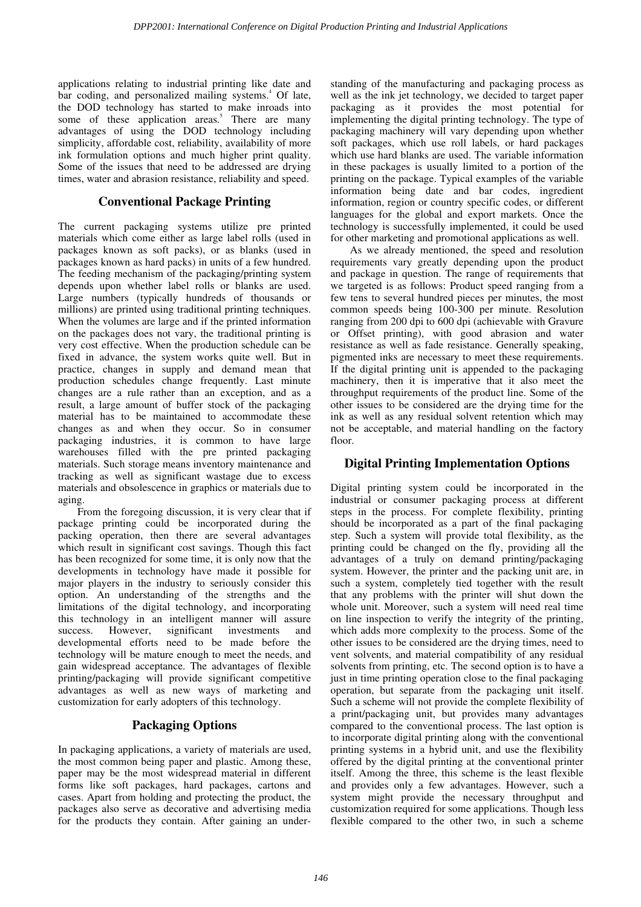applications relating to industrial printing like date and bar coding, and personalized mailing systems.<sup>4</sup> Of late, the DOD technology has started to make inroads into some of these application areas.<sup>5</sup> There are many advantages of using the DOD technology including simplicity, affordable cost, reliability, availability of more ink formulation options and much higher print quality. Some of the issues that need to be addressed are drying times, water and abrasion resistance, reliability and speed.

# **Conventional Package Printing**

The current packaging systems utilize pre printed materials which come either as large label rolls (used in packages known as soft packs), or as blanks (used in packages known as hard packs) in units of a few hundred. The feeding mechanism of the packaging/printing system depends upon whether label rolls or blanks are used. Large numbers (typically hundreds of thousands or millions) are printed using traditional printing techniques. When the volumes are large and if the printed information on the packages does not vary, the traditional printing is very cost effective. When the production schedule can be fixed in advance, the system works quite well. But in practice, changes in supply and demand mean that production schedules change frequently. Last minute changes are a rule rather than an exception, and as a result, a large amount of buffer stock of the packaging material has to be maintained to accommodate these changes as and when they occur. So in consumer packaging industries, it is common to have large warehouses filled with the pre printed packaging materials. Such storage means inventory maintenance and tracking as well as significant wastage due to excess materials and obsolescence in graphics or materials due to aging.

From the foregoing discussion, it is very clear that if package printing could be incorporated during the packing operation, then there are several advantages which result in significant cost savings. Though this fact has been recognized for some time, it is only now that the developments in technology have made it possible for major players in the industry to seriously consider this option. An understanding of the strengths and the limitations of the digital technology, and incorporating this technology in an intelligent manner will assure success. However, significant investments and developmental efforts need to be made before the technology will be mature enough to meet the needs, and gain widespread acceptance. The advantages of flexible printing/packaging will provide significant competitive advantages as well as new ways of marketing and customization for early adopters of this technology.

# **Packaging Options**

In packaging applications, a variety of materials are used, the most common being paper and plastic. Among these, paper may be the most widespread material in different forms like soft packages, hard packages, cartons and cases. Apart from holding and protecting the product, the packages also serve as decorative and advertising media for the products they contain. After gaining an under-

standing of the manufacturing and packaging process as well as the ink jet technology, we decided to target paper packaging as it provides the most potential for implementing the digital printing technology. The type of packaging machinery will vary depending upon whether soft packages, which use roll labels, or hard packages which use hard blanks are used. The variable information in these packages is usually limited to a portion of the printing on the package. Typical examples of the variable information being date and bar codes, ingredient information, region or country specific codes, or different languages for the global and export markets. Once the technology is successfully implemented, it could be used for other marketing and promotional applications as well.

As we already mentioned, the speed and resolution requirements vary greatly depending upon the product and package in question. The range of requirements that we targeted is as follows: Product speed ranging from a few tens to several hundred pieces per minutes, the most common speeds being 100-300 per minute. Resolution ranging from 200 dpi to 600 dpi (achievable with Gravure or Offset printing), with good abrasion and water resistance as well as fade resistance. Generally speaking, pigmented inks are necessary to meet these requirements. If the digital printing unit is appended to the packaging machinery, then it is imperative that it also meet the throughput requirements of the product line. Some of the other issues to be considered are the drying time for the ink as well as any residual solvent retention which may not be acceptable, and material handling on the factory floor.

# **Digital Printing Implementation Options**

Digital printing system could be incorporated in the industrial or consumer packaging process at different steps in the process. For complete flexibility, printing should be incorporated as a part of the final packaging step. Such a system will provide total flexibility, as the printing could be changed on the fly, providing all the advantages of a truly on demand printing/packaging system. However, the printer and the packing unit are, in such a system, completely tied together with the result that any problems with the printer will shut down the whole unit. Moreover, such a system will need real time on line inspection to verify the integrity of the printing, which adds more complexity to the process. Some of the other issues to be considered are the drying times, need to vent solvents, and material compatibility of any residual solvents from printing, etc. The second option is to have a just in time printing operation close to the final packaging operation, but separate from the packaging unit itself. Such a scheme will not provide the complete flexibility of a print/packaging unit, but provides many advantages compared to the conventional process. The last option is to incorporate digital printing along with the conventional printing systems in a hybrid unit, and use the flexibility offered by the digital printing at the conventional printer itself. Among the three, this scheme is the least flexible and provides only a few advantages. However, such a system might provide the necessary throughput and customization required for some applications. Though less flexible compared to the other two, in such a scheme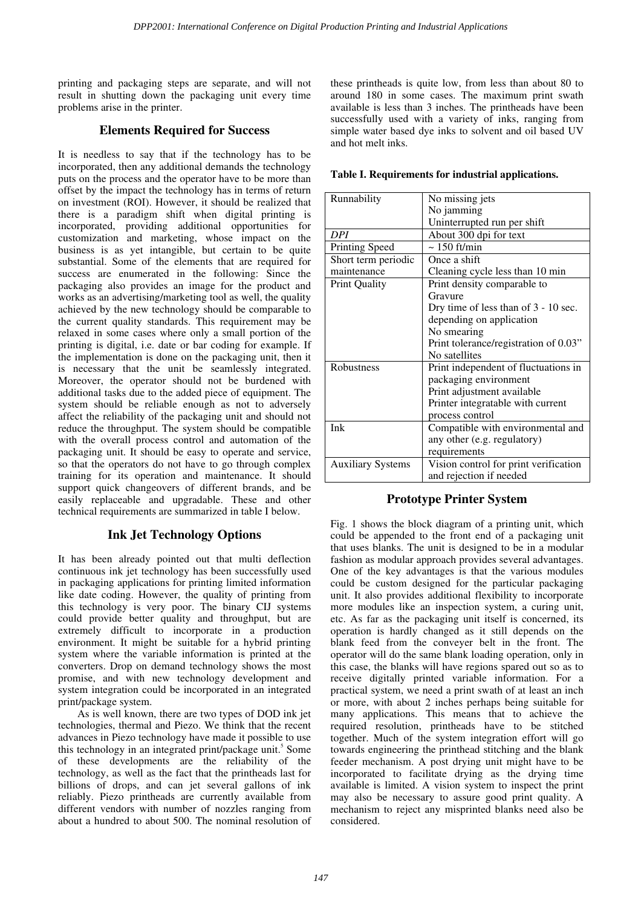printing and packaging steps are separate, and will not result in shutting down the packaging unit every time problems arise in the printer.

#### **Elements Required for Success**

It is needless to say that if the technology has to be incorporated, then any additional demands the technology puts on the process and the operator have to be more than offset by the impact the technology has in terms of return on investment (ROI). However, it should be realized that there is a paradigm shift when digital printing is incorporated, providing additional opportunities for customization and marketing, whose impact on the business is as yet intangible, but certain to be quite substantial. Some of the elements that are required for success are enumerated in the following: Since the packaging also provides an image for the product and works as an advertising/marketing tool as well, the quality achieved by the new technology should be comparable to the current quality standards. This requirement may be relaxed in some cases where only a small portion of the printing is digital, i.e. date or bar coding for example. If the implementation is done on the packaging unit, then it is necessary that the unit be seamlessly integrated. Moreover, the operator should not be burdened with additional tasks due to the added piece of equipment. The system should be reliable enough as not to adversely affect the reliability of the packaging unit and should not reduce the throughput. The system should be compatible with the overall process control and automation of the packaging unit. It should be easy to operate and service, so that the operators do not have to go through complex training for its operation and maintenance. It should support quick changeovers of different brands, and be easily replaceable and upgradable. These and other technical requirements are summarized in table I below.

# **Ink Jet Technology Options**

It has been already pointed out that multi deflection continuous ink jet technology has been successfully used in packaging applications for printing limited information like date coding. However, the quality of printing from this technology is very poor. The binary CIJ systems could provide better quality and throughput, but are extremely difficult to incorporate in a production environment. It might be suitable for a hybrid printing system where the variable information is printed at the converters. Drop on demand technology shows the most promise, and with new technology development and system integration could be incorporated in an integrated print/package system.

As is well known, there are two types of DOD ink jet technologies, thermal and Piezo. We think that the recent advances in Piezo technology have made it possible to use this technology in an integrated print/package unit.<sup>5</sup> Some of these developments are the reliability of the technology, as well as the fact that the printheads last for billions of drops, and can jet several gallons of ink reliably. Piezo printheads are currently available from different vendors with number of nozzles ranging from about a hundred to about 500. The nominal resolution of

these printheads is quite low, from less than about 80 to around 180 in some cases. The maximum print swath available is less than 3 inches. The printheads have been successfully used with a variety of inks, ranging from simple water based dye inks to solvent and oil based UV and hot melt inks.

|  |  | Table I. Requirements for industrial applications. |
|--|--|----------------------------------------------------|
|  |  |                                                    |

| Runnability              | No missing jets                        |
|--------------------------|----------------------------------------|
|                          |                                        |
|                          | No jamming                             |
|                          | Uninterrupted run per shift            |
| DPI                      | About 300 dpi for text                 |
| Printing Speed           | $\sim 150$ ft/min                      |
| Short term periodic      | Once a shift                           |
| maintenance              | Cleaning cycle less than 10 min        |
| <b>Print Quality</b>     | Print density comparable to            |
|                          | Gravure                                |
|                          | Dry time of less than of $3 - 10$ sec. |
|                          | depending on application               |
|                          | No smearing                            |
|                          | Print tolerance/registration of 0.03"  |
|                          | No satellites                          |
| Robustness               | Print independent of fluctuations in   |
|                          | packaging environment                  |
|                          | Print adjustment available             |
|                          | Printer integratable with current      |
|                          | process control                        |
| Ink                      | Compatible with environmental and      |
|                          | any other (e.g. regulatory)            |
|                          | requirements                           |
| <b>Auxiliary Systems</b> | Vision control for print verification  |
|                          | and rejection if needed                |

# **Prototype Printer System**

Fig. 1 shows the block diagram of a printing unit, which could be appended to the front end of a packaging unit that uses blanks. The unit is designed to be in a modular fashion as modular approach provides several advantages. One of the key advantages is that the various modules could be custom designed for the particular packaging unit. It also provides additional flexibility to incorporate more modules like an inspection system, a curing unit, etc. As far as the packaging unit itself is concerned, its operation is hardly changed as it still depends on the blank feed from the conveyer belt in the front. The operator will do the same blank loading operation, only in this case, the blanks will have regions spared out so as to receive digitally printed variable information. For a practical system, we need a print swath of at least an inch or more, with about 2 inches perhaps being suitable for many applications. This means that to achieve the required resolution, printheads have to be stitched together. Much of the system integration effort will go towards engineering the printhead stitching and the blank feeder mechanism. A post drying unit might have to be incorporated to facilitate drying as the drying time available is limited. A vision system to inspect the print may also be necessary to assure good print quality. A mechanism to reject any misprinted blanks need also be considered.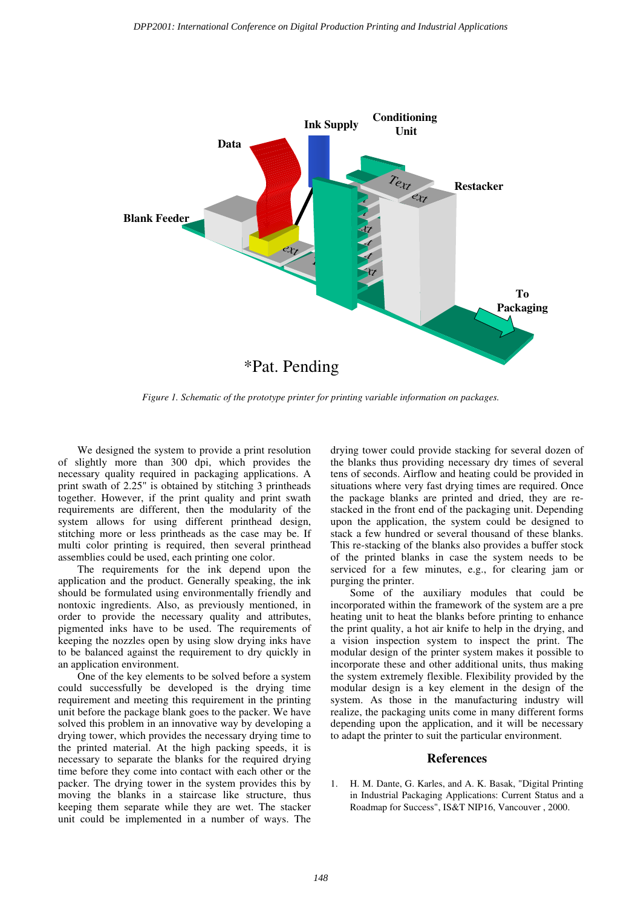

*Figure 1. Schematic of the prototype printer for printing variable information on packages.* 

We designed the system to provide a print resolution of slightly more than 300 dpi, which provides the necessary quality required in packaging applications. A print swath of 2.25" is obtained by stitching 3 printheads together. However, if the print quality and print swath requirements are different, then the modularity of the system allows for using different printhead design, stitching more or less printheads as the case may be. If multi color printing is required, then several printhead assemblies could be used, each printing one color.

The requirements for the ink depend upon the application and the product. Generally speaking, the ink should be formulated using environmentally friendly and nontoxic ingredients. Also, as previously mentioned, in order to provide the necessary quality and attributes, pigmented inks have to be used. The requirements of keeping the nozzles open by using slow drying inks have to be balanced against the requirement to dry quickly in an application environment.

One of the key elements to be solved before a system could successfully be developed is the drying time requirement and meeting this requirement in the printing unit before the package blank goes to the packer. We have solved this problem in an innovative way by developing a drying tower, which provides the necessary drying time to the printed material. At the high packing speeds, it is necessary to separate the blanks for the required drying time before they come into contact with each other or the packer. The drying tower in the system provides this by moving the blanks in a staircase like structure, thus keeping them separate while they are wet. The stacker unit could be implemented in a number of ways. The drying tower could provide stacking for several dozen of the blanks thus providing necessary dry times of several tens of seconds. Airflow and heating could be provided in situations where very fast drying times are required. Once the package blanks are printed and dried, they are restacked in the front end of the packaging unit. Depending upon the application, the system could be designed to stack a few hundred or several thousand of these blanks. This re-stacking of the blanks also provides a buffer stock of the printed blanks in case the system needs to be serviced for a few minutes, e.g., for clearing jam or purging the printer.

Some of the auxiliary modules that could be incorporated within the framework of the system are a pre heating unit to heat the blanks before printing to enhance the print quality, a hot air knife to help in the drying, and a vision inspection system to inspect the print. The modular design of the printer system makes it possible to incorporate these and other additional units, thus making the system extremely flexible. Flexibility provided by the modular design is a key element in the design of the system. As those in the manufacturing industry will realize, the packaging units come in many different forms depending upon the application, and it will be necessary to adapt the printer to suit the particular environment.

#### **References**

1. H. M. Dante, G. Karles, and A. K. Basak, "Digital Printing in Industrial Packaging Applications: Current Status and a Roadmap for Success", IS&T NIP16, Vancouver , 2000.